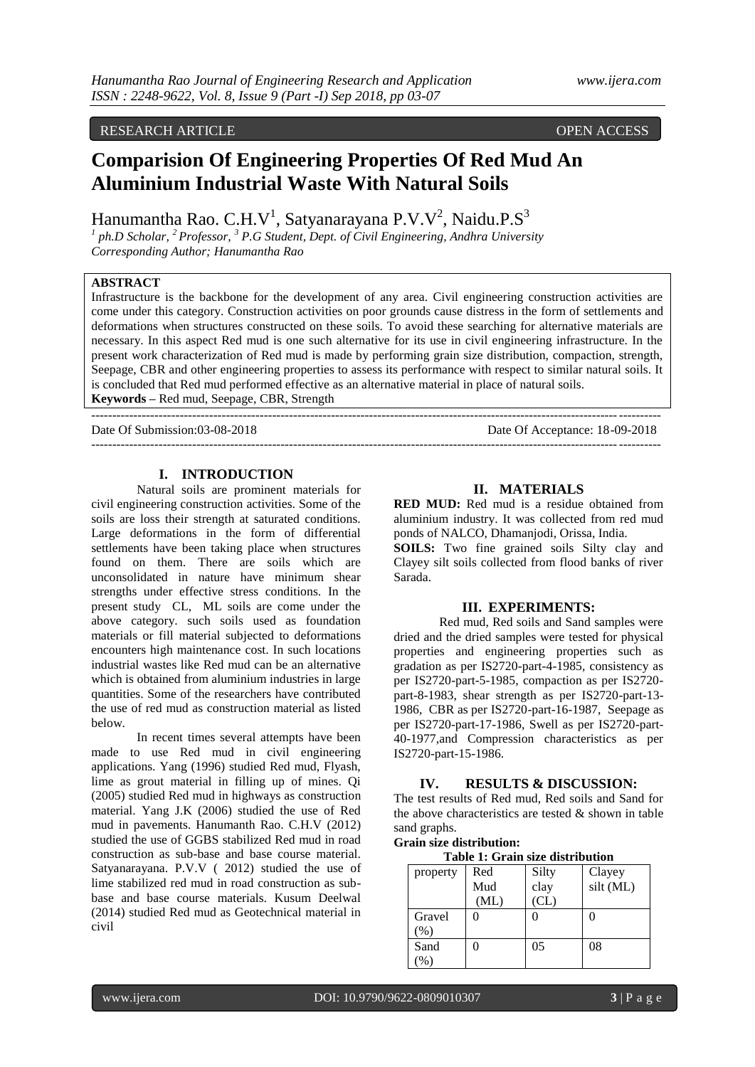# RESEARCH ARTICLE OPEN ACCESS

# **Comparision Of Engineering Properties Of Red Mud An Aluminium Industrial Waste With Natural Soils**

Hanumantha Rao. C.H.V<sup>1</sup>, Satyanarayana P.V.V<sup>2</sup>, Naidu.P.S<sup>3</sup>

*1 ph.D Scholar, <sup>2</sup>Professor, <sup>3</sup> P.G Student, Dept. of Civil Engineering, Andhra University Corresponding Author; Hanumantha Rao*

# **ABSTRACT**

Infrastructure is the backbone for the development of any area. Civil engineering construction activities are come under this category. Construction activities on poor grounds cause distress in the form of settlements and deformations when structures constructed on these soils. To avoid these searching for alternative materials are necessary. In this aspect Red mud is one such alternative for its use in civil engineering infrastructure. In the present work characterization of Red mud is made by performing grain size distribution, compaction, strength, Seepage, CBR and other engineering properties to assess its performance with respect to similar natural soils. It is concluded that Red mud performed effective as an alternative material in place of natural soils. **Keywords –** Red mud, Seepage, CBR, Strength

--------------------------------------------------------------------------------------------------------------------------------------- Date Of Submission:03-08-2018 Date Of Acceptance: 18-09-2018

---------------------------------------------------------------------------------------------------------------------------------------

#### **I. INTRODUCTION**

Natural soils are prominent materials for civil engineering construction activities. Some of the soils are loss their strength at saturated conditions. Large deformations in the form of differential settlements have been taking place when structures found on them. There are soils which are unconsolidated in nature have minimum shear strengths under effective stress conditions. In the present study CL, ML soils are come under the above category. such soils used as foundation materials or fill material subjected to deformations encounters high maintenance cost. In such locations industrial wastes like Red mud can be an alternative which is obtained from aluminium industries in large quantities. Some of the researchers have contributed the use of red mud as construction material as listed below.

In recent times several attempts have been made to use Red mud in civil engineering applications. Yang (1996) studied Red mud, Flyash, lime as grout material in filling up of mines. Qi (2005) studied Red mud in highways as construction material. Yang J.K (2006) studied the use of Red mud in pavements. Hanumanth Rao. C.H.V (2012) studied the use of GGBS stabilized Red mud in road construction as sub-base and base course material. Satyanarayana. P.V.V ( 2012) studied the use of lime stabilized red mud in road construction as subbase and base course materials. Kusum Deelwal (2014) studied Red mud as Geotechnical material in civil

#### **II. MATERIALS**

**RED MUD:** Red mud is a residue obtained from aluminium industry. It was collected from red mud ponds of NALCO, Dhamanjodi, Orissa, India.

**SOILS:** Two fine grained soils Silty clay and Clayey silt soils collected from flood banks of river Sarada.

#### **III. EXPERIMENTS:**

Red mud, Red soils and Sand samples were dried and the dried samples were tested for physical properties and engineering properties such as gradation as per IS2720-part-4-1985, consistency as per IS2720-part-5-1985, compaction as per IS2720 part-8-1983, shear strength as per IS2720-part-13- 1986, CBR as per IS2720-part-16-1987, Seepage as per IS2720-part-17-1986, Swell as per IS2720-part-40-1977,and Compression characteristics as per IS2720-part-15-1986.

#### **IV. RESULTS & DISCUSSION:**

The test results of Red mud, Red soils and Sand for the above characteristics are tested  $\&$  shown in table sand graphs.

**Grain size distribution:**

| Table 1: Grain size distribution |  |            |                   |  |  |
|----------------------------------|--|------------|-------------------|--|--|
| $\alpha$ nerty $\beta$ ed        |  | $\sqrt{3}$ | $Cl_{2V\alpha V}$ |  |  |

| property | Red  | Silty | Clayey    |
|----------|------|-------|-----------|
|          | Mud  | clay  | silt (ML) |
|          | (ML) | CL)   |           |
| Gravel   |      |       |           |
| (9)      |      |       |           |
| Sand     |      | 05    | 08        |
| $\%$     |      |       |           |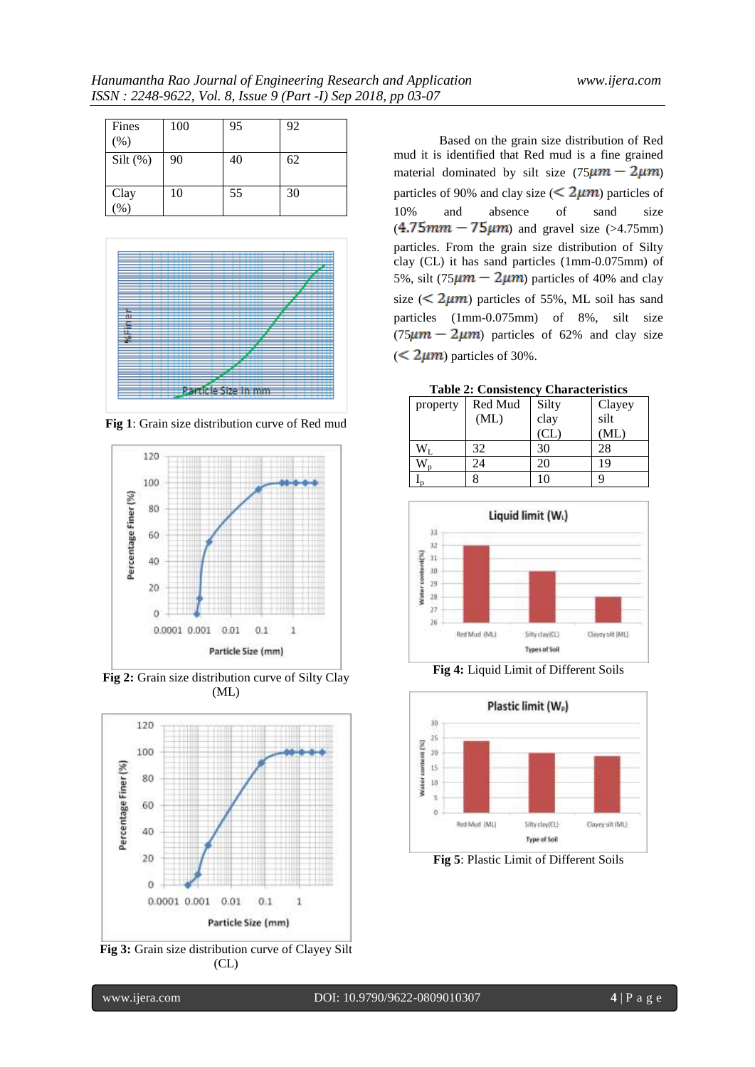| Fines<br>(% )   | 100 | 95 | 92 |
|-----------------|-----|----|----|
| $Silt$ (%)      | 90  | 40 | 62 |
| Clay<br>$(\% )$ | 10  | 55 | 30 |



**Fig 1**: Grain size distribution curve of Red mud



**Fig 2:** Grain size distribution curve of Silty Clay (ML)



**Fig 3:** Grain size distribution curve of Clayey Silt (CL)

Based on the grain size distribution of Red mud it is identified that Red mud is a fine grained material dominated by silt size  $(75 \mu m - 2 \mu m)$ particles of 90% and clay size ( $\leq 2\mu m$ ) particles of 10% and absence of sand size  $(4.75mm - 75\mu m)$  and gravel size (>4.75mm) particles. From the grain size distribution of Silty clay (CL) it has sand particles (1mm-0.075mm) of 5%, silt (75 $\mu$ m – 2 $\mu$ m) particles of 40% and clay size ( $\leq$  2 $\mu$ m) particles of 55%, ML soil has sand particles (1mm-0.075mm) of 8%, silt size  $(75 \mu m - 2 \mu m)$  particles of 62% and clay size  $(< 2 \mu m$ ) particles of 30%.

**Table 2: Consistency Characteristics**

| property | Red Mud | Silty | Clayey |
|----------|---------|-------|--------|
|          | (ML)    | clay  | silt   |
|          |         | CL    | (ML)   |
|          | 32      | 30    | 28     |
|          | 24      | 20    | 19     |
|          |         | 10    |        |



**Fig 4:** Liquid Limit of Different Soils



**Fig 5**: Plastic Limit of Different Soils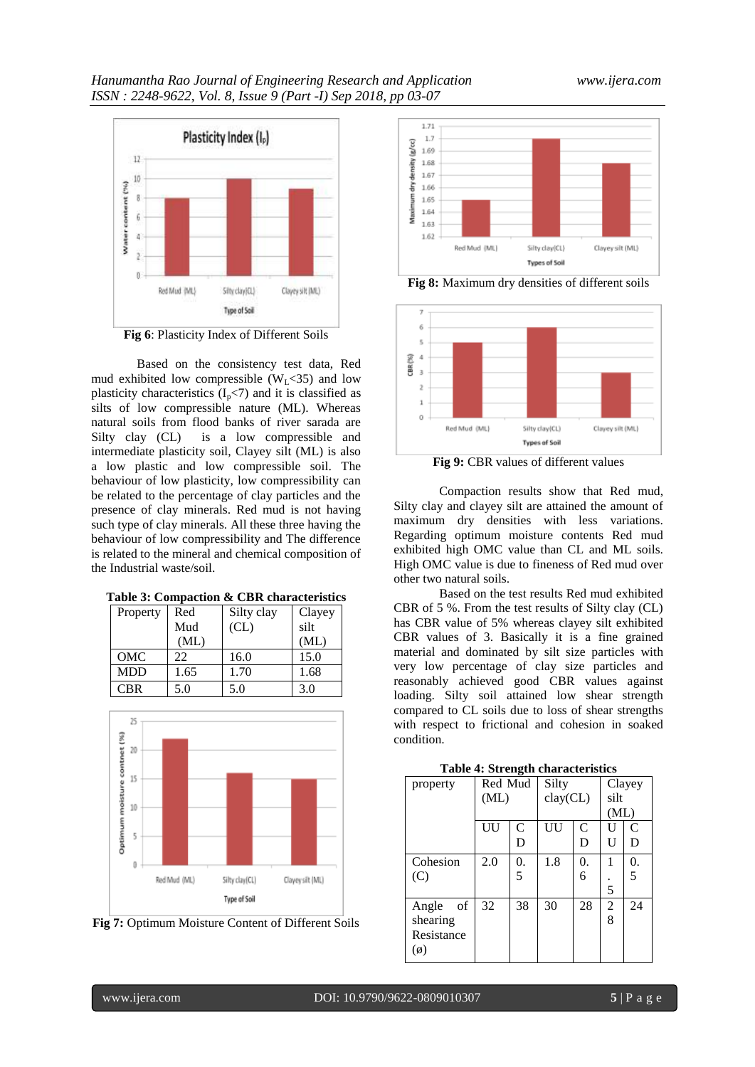

Based on the consistency test data, Red mud exhibited low compressible  $(W_L < 35)$  and low plasticity characteristics  $(I_p<7)$  and it is classified as silts of low compressible nature (ML). Whereas natural soils from flood banks of river sarada are Silty clay (CL) is a low compressible and intermediate plasticity soil, Clayey silt (ML) is also a low plastic and low compressible soil. The behaviour of low plasticity, low compressibility can be related to the percentage of clay particles and the presence of clay minerals. Red mud is not having such type of clay minerals. All these three having the behaviour of low compressibility and The difference is related to the mineral and chemical composition of the Industrial waste/soil.

| Property   | Red  | Silty clay | Clayey |  |
|------------|------|------------|--------|--|
|            | Mud  | CL)        | silt   |  |
|            | (ML) |            | (ML)   |  |
| OMC        | 22   | 16.0       | 15.0   |  |
| <b>MDD</b> | 1.65 | 1.70       | 1.68   |  |
| <b>CBR</b> | 5.0  | 5.0        | 3.0    |  |



**Fig 7:** Optimum Moisture Content of Different Soils



**Fig 8:** Maximum dry densities of different soils



**Fig 9:** CBR values of different values

Compaction results show that Red mud, Silty clay and clayey silt are attained the amount of maximum dry densities with less variations. Regarding optimum moisture contents Red mud exhibited high OMC value than CL and ML soils. High OMC value is due to fineness of Red mud over other two natural soils.

Based on the test results Red mud exhibited CBR of 5 %. From the test results of Silty clay (CL) has CBR value of 5% whereas clayey silt exhibited CBR values of 3. Basically it is a fine grained material and dominated by silt size particles with very low percentage of clay size particles and reasonably achieved good CBR values against loading. Silty soil attained low shear strength compared to CL soils due to loss of shear strengths with respect to frictional and cohesion in soaked condition.

| property      | Red Mud |               | Silty     |    | Clayey         |              |
|---------------|---------|---------------|-----------|----|----------------|--------------|
|               | (ML)    |               | clay (CL) |    | silt           |              |
|               |         |               |           |    | (ML)           |              |
|               | UU      | $\mathcal{C}$ | UU        | C  | $\mathbf{U}$   | $\mathsf{C}$ |
|               |         | D             |           | D  | U              | D            |
| Cohesion      | 2.0     | 0.            | 1.8       | 0. | 1              | 0.           |
| (C)           |         | 5             |           | 6  |                | 5            |
|               |         |               |           |    | 5              |              |
| of<br>Angle   | 32      | 38            | 30        | 28 | $\overline{2}$ | 24           |
| shearing      |         |               |           |    | 8              |              |
| Resistance    |         |               |           |    |                |              |
| $(\emptyset)$ |         |               |           |    |                |              |
|               |         |               |           |    |                |              |

**Table 4: Strength characteristics**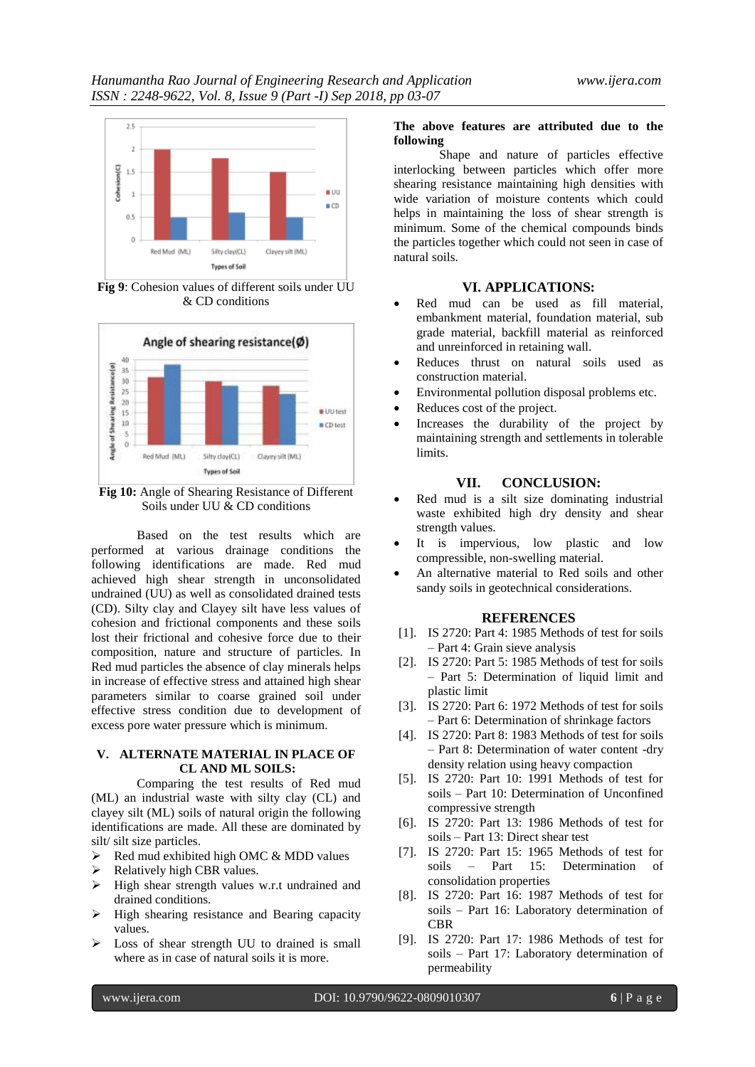

**Fig 9**: Cohesion values of different soils under UU & CD conditions



**Fig 10:** Angle of Shearing Resistance of Different Soils under UU & CD conditions

Based on the test results which are performed at various drainage conditions the following identifications are made. Red mud achieved high shear strength in unconsolidated undrained (UU) as well as consolidated drained tests (CD). Silty clay and Clayey silt have less values of cohesion and frictional components and these soils lost their frictional and cohesive force due to their composition, nature and structure of particles. In Red mud particles the absence of clay minerals helps in increase of effective stress and attained high shear parameters similar to coarse grained soil under effective stress condition due to development of excess pore water pressure which is minimum.

#### **V. ALTERNATE MATERIAL IN PLACE OF CL AND ML SOILS:**

Comparing the test results of Red mud (ML) an industrial waste with silty clay (CL) and clayey silt (ML) soils of natural origin the following identifications are made. All these are dominated by silt/ silt size particles.

 $\triangleright$  Red mud exhibited high OMC & MDD values

- $\triangleright$  Relatively high CBR values.
- $\triangleright$  High shear strength values w.r.t undrained and drained conditions.
- $\triangleright$  High shearing resistance and Bearing capacity values.
- $\triangleright$  Loss of shear strength UU to drained is small where as in case of natural soils it is more.

### **The above features are attributed due to the following**

Shape and nature of particles effective interlocking between particles which offer more shearing resistance maintaining high densities with wide variation of moisture contents which could helps in maintaining the loss of shear strength is minimum. Some of the chemical compounds binds the particles together which could not seen in case of natural soils.

## **VI. APPLICATIONS:**

- Red mud can be used as fill material, embankment material, foundation material, sub grade material, backfill material as reinforced and unreinforced in retaining wall.
- Reduces thrust on natural soils used as construction material.
- Environmental pollution disposal problems etc.
- Reduces cost of the project.
- Increases the durability of the project by maintaining strength and settlements in tolerable limits.

#### **VII. CONCLUSION:**

- Red mud is a silt size dominating industrial waste exhibited high dry density and shear strength values.
- It is impervious, low plastic and low compressible, non-swelling material.
- An alternative material to Red soils and other sandy soils in geotechnical considerations.

#### **REFERENCES**

- [1]. IS 2720: Part 4: 1985 Methods of test for soils – Part 4: Grain sieve analysis
- [2]. IS 2720: Part 5: 1985 Methods of test for soils – Part 5: Determination of liquid limit and plastic limit
- [3]. IS 2720: Part 6: 1972 Methods of test for soils – Part 6: Determination of shrinkage factors
- [4]. IS 2720: Part 8: 1983 Methods of test for soils – Part 8: Determination of water content -dry density relation using heavy compaction
- [5]. IS 2720: Part 10: 1991 Methods of test for soils – Part 10: Determination of Unconfined compressive strength
- [6]. IS 2720: Part 13: 1986 Methods of test for soils – Part 13: Direct shear test
- [7]. IS 2720: Part 15: 1965 Methods of test for soils – Part 15: Determination of consolidation properties
- [8]. IS 2720: Part 16: 1987 Methods of test for soils – Part 16: Laboratory determination of CBR
- [9]. IS 2720: Part 17: 1986 Methods of test for soils – Part 17: Laboratory determination of permeability